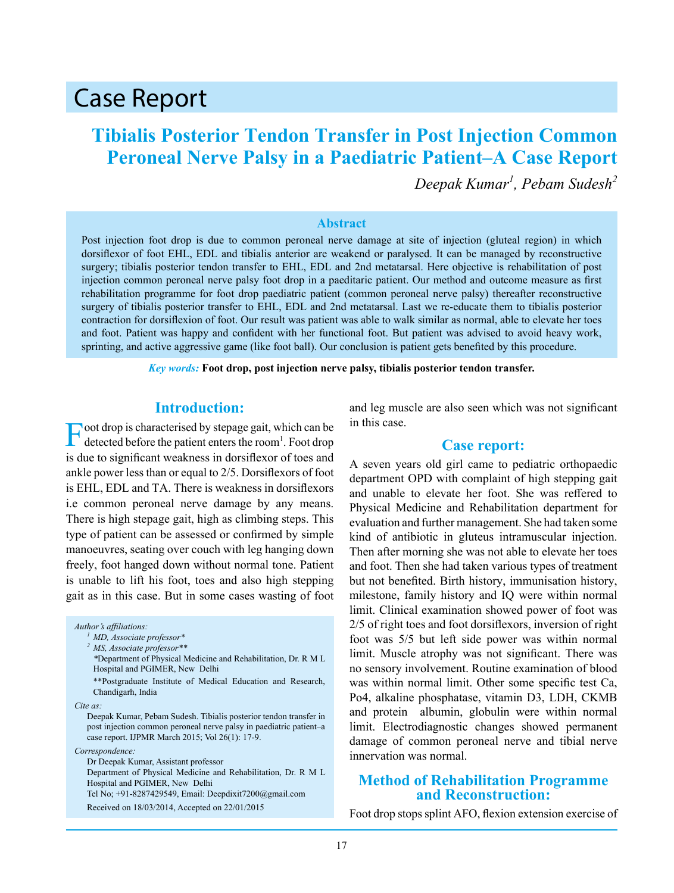# Case Report

# **Tibialis Posterior Tendon Transfer in Post Injection Common Peroneal Nerve Palsy in a Paediatric Patient–A Case Report**

*Deepak Kumar<sup>1</sup> , Pebam Sudesh<sup>2</sup>*

#### **Abstract**

Post injection foot drop is due to common peroneal nerve damage at site of injection (gluteal region) in which dorsiflexor of foot EHL, EDL and tibialis anterior are weakend or paralysed. It can be managed by reconstructive surgery; tibialis posterior tendon transfer to EHL, EDL and 2nd metatarsal. Here objective is rehabilitation of post injection common peroneal nerve palsy foot drop in a paeditaric patient. Our method and outcome measure as first rehabilitation programme for foot drop paediatric patient (common peroneal nerve palsy) thereafter reconstructive surgery of tibialis posterior transfer to EHL, EDL and 2nd metatarsal. Last we re-educate them to tibialis posterior contraction for dorsiflexion of foot. Our result was patient was able to walk similar as normal, able to elevate her toes and foot. Patient was happy and confident with her functional foot. But patient was advised to avoid heavy work, sprinting, and active aggressive game (like foot ball). Our conclusion is patient gets benefited by this procedure.

*Key words:* **Foot drop, post injection nerve palsy, tibialis posterior tendon transfer.**

### **Introduction:**

Foot drop is characterised by stepage gait, which can be detected before the patient enters the room<sup>1</sup>. Foot drop is due to significant weakness in dorsiflexor of toes and ankle power less than or equal to 2/5. Dorsiflexors of foot is EHL, EDL and TA. There is weakness in dorsiflexors i.e common peroneal nerve damage by any means. There is high stepage gait, high as climbing steps. This type of patient can be assessed or confirmed by simple manoeuvres, seating over couch with leg hanging down freely, foot hanged down without normal tone. Patient is unable to lift his foot, toes and also high stepping gait as in this case. But in some cases wasting of foot

*Author's affiliations: <sup>1</sup> MD, Associate professor\* <sup>2</sup> MS, Associate professor\*\* \**Department of Physical Medicine and Rehabilitation, Dr. R M L Hospital and PGIMER, New Delhi \*\*Postgraduate Institute of Medical Education and Research, Chandigarh, India *Cite as:* Deepak Kumar, Pebam Sudesh. Tibialis posterior tendon transfer in post injection common peroneal nerve palsy in paediatric patient–a case report. IJPMR March 2015; Vol 26(1): 17-9. *Correspondence:* Dr Deepak Kumar, Assistant professor Department of Physical Medicine and Rehabilitation, Dr. R M L Hospital and PGIMER, New Delhi Tel No; +91-8287429549, Email: Deepdixit7200@gmail.com Received on 18/03/2014, Accepted on 22/01/2015

and leg muscle are also seen which was not significant in this case.

#### **Case report:**

A seven years old girl came to pediatric orthopaedic department OPD with complaint of high stepping gait and unable to elevate her foot. She was reffered to Physical Medicine and Rehabilitation department for evaluation and further management. She had taken some kind of antibiotic in gluteus intramuscular injection. Then after morning she was not able to elevate her toes and foot. Then she had taken various types of treatment but not benefited. Birth history, immunisation history, milestone, family history and IQ were within normal limit. Clinical examination showed power of foot was 2/5 of right toes and foot dorsiflexors, inversion of right foot was 5/5 but left side power was within normal limit. Muscle atrophy was not significant. There was no sensory involvement. Routine examination of blood was within normal limit. Other some specific test Ca, Po4, alkaline phosphatase, vitamin D3, LDH, CKMB and protein albumin, globulin were within normal limit. Electrodiagnostic changes showed permanent damage of common peroneal nerve and tibial nerve innervation was normal.

### **Method of Rehabilitation Programme and Reconstruction:**

Foot drop stops splint AFO, flexion extension exercise of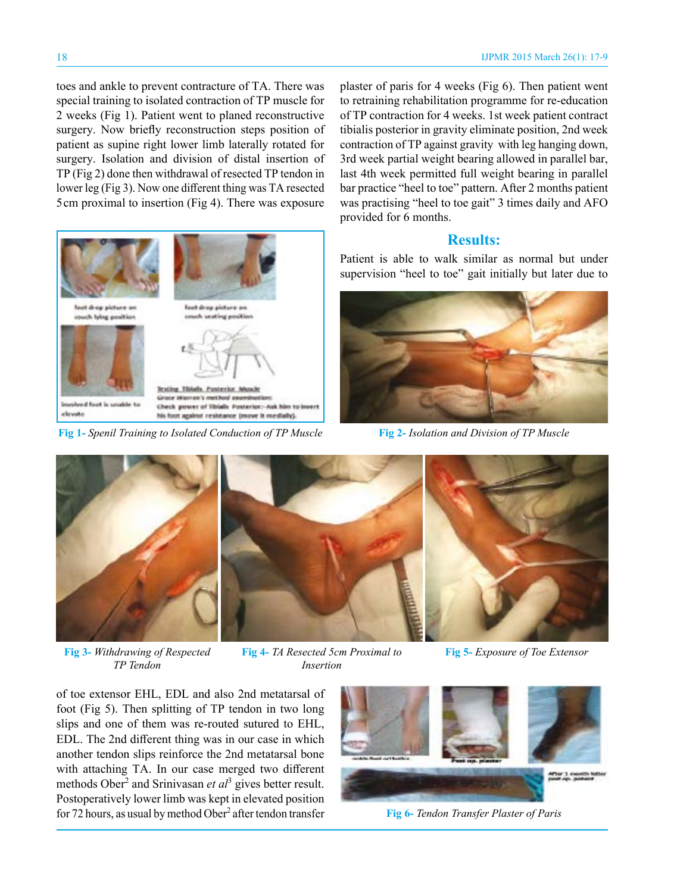toes and ankle to prevent contracture of TA. There was special training to isolated contraction of TP muscle for 2 weeks (Fig 1). Patient went to planed reconstructive surgery. Now briefly reconstruction steps position of patient as supine right lower limb laterally rotated for surgery. Isolation and division of distal insertion of TP (Fig 2) done then withdrawal of resected TP tendon in lower leg (Fig 3). Now one different thing was TA resected 5 cm proximal to insertion (Fig 4). There was exposure plaster of paris for 4 weeks (Fig 6). Then patient went to retraining rehabilitation programme for re-education of TP contraction for 4 weeks. 1st week patient contract tibialis posterior in gravity eliminate position, 2nd week contraction of TP against gravity with leg hanging down, 3rd week partial weight bearing allowed in parallel bar, last 4th week permitted full weight bearing in parallel bar practice "heel to toe" pattern. After 2 months patient was practising "heel to toe gait" 3 times daily and AFO provided for 6 months.

## **Results:**

Patient is able to walk similar as normal but under supervision "heel to toe" gait initially but later due to



**Fig 2-** *Isolation and Division of TP Muscle*





**Roting Tibialo Punterior Muscle** Grace Warren's method exc Check power of Ilbialls Posterior:- Ask him to i his foot against resistance (move it medially).





**Fig 3-** *Withdrawing of Respected TP Tendon*

**Fig 4-** *TA Resected 5cm Proximal to* **Fig 5-** *Exposure of Toe Extensor Insertion*

of toe extensor EHL, EDL and also 2nd metatarsal of foot (Fig 5). Then splitting of TP tendon in two long slips and one of them was re-routed sutured to EHL, EDL. The 2nd different thing was in our case in which another tendon slips reinforce the 2nd metatarsal bone with attaching TA. In our case merged two different methods Ober<sup>2</sup> and Srinivasan *et al*<sup>3</sup> gives better result. Postoperatively lower limb was kept in elevated position for 72 hours, as usual by method Ober<sup>2</sup> after tendon transfer



**Fig 6-** *Tendon Transfer Plaster of Paris*